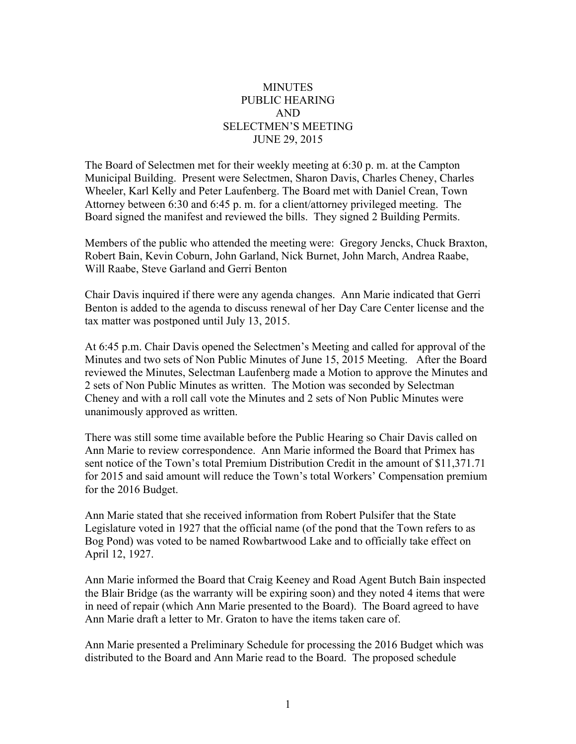## **MINUTES** PUBLIC HEARING AND SELECTMEN'S MEETING JUNE 29, 2015

The Board of Selectmen met for their weekly meeting at 6:30 p. m. at the Campton Municipal Building. Present were Selectmen, Sharon Davis, Charles Cheney, Charles Wheeler, Karl Kelly and Peter Laufenberg. The Board met with Daniel Crean, Town Attorney between 6:30 and 6:45 p. m. for a client/attorney privileged meeting. The Board signed the manifest and reviewed the bills. They signed 2 Building Permits.

Members of the public who attended the meeting were: Gregory Jencks, Chuck Braxton, Robert Bain, Kevin Coburn, John Garland, Nick Burnet, John March, Andrea Raabe, Will Raabe, Steve Garland and Gerri Benton

Chair Davis inquired if there were any agenda changes. Ann Marie indicated that Gerri Benton is added to the agenda to discuss renewal of her Day Care Center license and the tax matter was postponed until July 13, 2015.

At 6:45 p.m. Chair Davis opened the Selectmen's Meeting and called for approval of the Minutes and two sets of Non Public Minutes of June 15, 2015 Meeting. After the Board reviewed the Minutes, Selectman Laufenberg made a Motion to approve the Minutes and 2 sets of Non Public Minutes as written. The Motion was seconded by Selectman Cheney and with a roll call vote the Minutes and 2 sets of Non Public Minutes were unanimously approved as written.

There was still some time available before the Public Hearing so Chair Davis called on Ann Marie to review correspondence. Ann Marie informed the Board that Primex has sent notice of the Town's total Premium Distribution Credit in the amount of \$11,371.71 for 2015 and said amount will reduce the Town's total Workers' Compensation premium for the 2016 Budget.

Ann Marie stated that she received information from Robert Pulsifer that the State Legislature voted in 1927 that the official name (of the pond that the Town refers to as Bog Pond) was voted to be named Rowbartwood Lake and to officially take effect on April 12, 1927.

Ann Marie informed the Board that Craig Keeney and Road Agent Butch Bain inspected the Blair Bridge (as the warranty will be expiring soon) and they noted 4 items that were in need of repair (which Ann Marie presented to the Board). The Board agreed to have Ann Marie draft a letter to Mr. Graton to have the items taken care of.

Ann Marie presented a Preliminary Schedule for processing the 2016 Budget which was distributed to the Board and Ann Marie read to the Board. The proposed schedule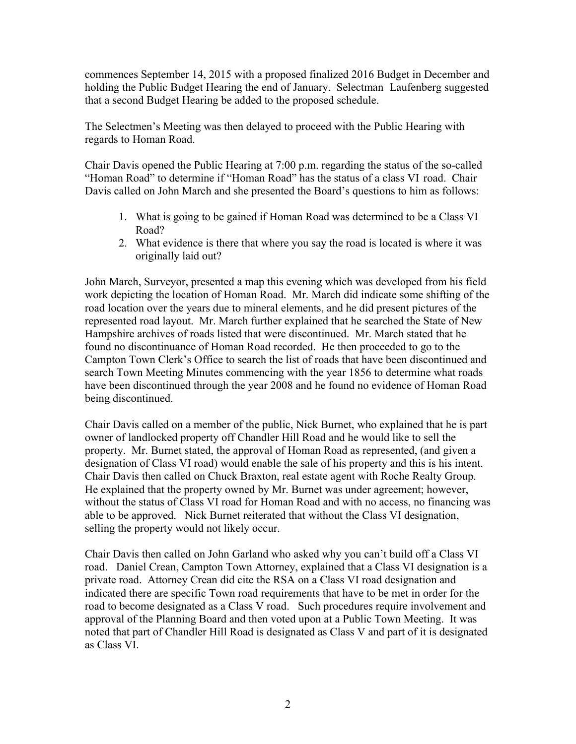commences September 14, 2015 with a proposed finalized 2016 Budget in December and holding the Public Budget Hearing the end of January. Selectman Laufenberg suggested that a second Budget Hearing be added to the proposed schedule.

The Selectmen's Meeting was then delayed to proceed with the Public Hearing with regards to Homan Road.

Chair Davis opened the Public Hearing at 7:00 p.m. regarding the status of the so-called "Homan Road" to determine if "Homan Road" has the status of a class VI road. Chair Davis called on John March and she presented the Board's questions to him as follows:

- 1. What is going to be gained if Homan Road was determined to be a Class VI Road?
- 2. What evidence is there that where you say the road is located is where it was originally laid out?

John March, Surveyor, presented a map this evening which was developed from his field work depicting the location of Homan Road. Mr. March did indicate some shifting of the road location over the years due to mineral elements, and he did present pictures of the represented road layout. Mr. March further explained that he searched the State of New Hampshire archives of roads listed that were discontinued. Mr. March stated that he found no discontinuance of Homan Road recorded. He then proceeded to go to the Campton Town Clerk's Office to search the list of roads that have been discontinued and search Town Meeting Minutes commencing with the year 1856 to determine what roads have been discontinued through the year 2008 and he found no evidence of Homan Road being discontinued.

Chair Davis called on a member of the public, Nick Burnet, who explained that he is part owner of landlocked property off Chandler Hill Road and he would like to sell the property. Mr. Burnet stated, the approval of Homan Road as represented, (and given a designation of Class VI road) would enable the sale of his property and this is his intent. Chair Davis then called on Chuck Braxton, real estate agent with Roche Realty Group. He explained that the property owned by Mr. Burnet was under agreement; however, without the status of Class VI road for Homan Road and with no access, no financing was able to be approved. Nick Burnet reiterated that without the Class VI designation, selling the property would not likely occur.

Chair Davis then called on John Garland who asked why you can't build off a Class VI road. Daniel Crean, Campton Town Attorney, explained that a Class VI designation is a private road. Attorney Crean did cite the RSA on a Class VI road designation and indicated there are specific Town road requirements that have to be met in order for the road to become designated as a Class V road. Such procedures require involvement and approval of the Planning Board and then voted upon at a Public Town Meeting. It was noted that part of Chandler Hill Road is designated as Class V and part of it is designated as Class VI.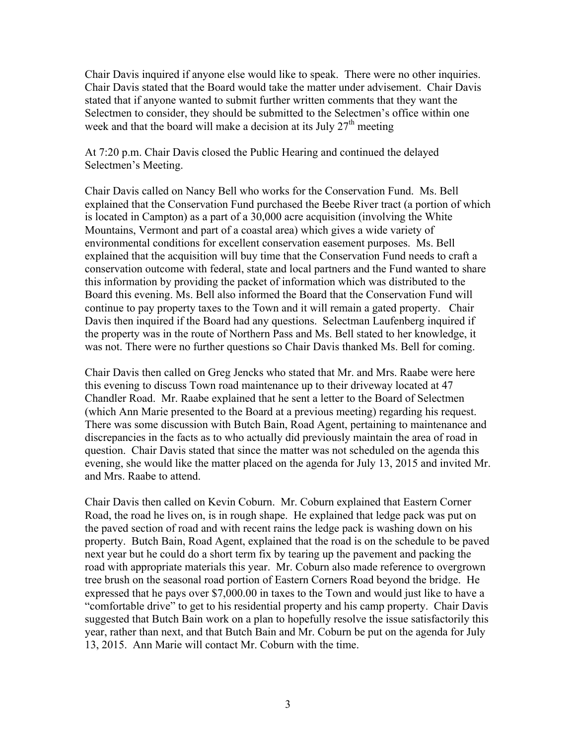Chair Davis inquired if anyone else would like to speak. There were no other inquiries. Chair Davis stated that the Board would take the matter under advisement. Chair Davis stated that if anyone wanted to submit further written comments that they want the Selectmen to consider, they should be submitted to the Selectmen's office within one week and that the board will make a decision at its July  $27<sup>th</sup>$  meeting

At 7:20 p.m. Chair Davis closed the Public Hearing and continued the delayed Selectmen's Meeting.

Chair Davis called on Nancy Bell who works for the Conservation Fund. Ms. Bell explained that the Conservation Fund purchased the Beebe River tract (a portion of which is located in Campton) as a part of a 30,000 acre acquisition (involving the White Mountains, Vermont and part of a coastal area) which gives a wide variety of environmental conditions for excellent conservation easement purposes. Ms. Bell explained that the acquisition will buy time that the Conservation Fund needs to craft a conservation outcome with federal, state and local partners and the Fund wanted to share this information by providing the packet of information which was distributed to the Board this evening. Ms. Bell also informed the Board that the Conservation Fund will continue to pay property taxes to the Town and it will remain a gated property. Chair Davis then inquired if the Board had any questions. Selectman Laufenberg inquired if the property was in the route of Northern Pass and Ms. Bell stated to her knowledge, it was not. There were no further questions so Chair Davis thanked Ms. Bell for coming.

Chair Davis then called on Greg Jencks who stated that Mr. and Mrs. Raabe were here this evening to discuss Town road maintenance up to their driveway located at 47 Chandler Road. Mr. Raabe explained that he sent a letter to the Board of Selectmen (which Ann Marie presented to the Board at a previous meeting) regarding his request. There was some discussion with Butch Bain, Road Agent, pertaining to maintenance and discrepancies in the facts as to who actually did previously maintain the area of road in question. Chair Davis stated that since the matter was not scheduled on the agenda this evening, she would like the matter placed on the agenda for July 13, 2015 and invited Mr. and Mrs. Raabe to attend.

Chair Davis then called on Kevin Coburn. Mr. Coburn explained that Eastern Corner Road, the road he lives on, is in rough shape. He explained that ledge pack was put on the paved section of road and with recent rains the ledge pack is washing down on his property. Butch Bain, Road Agent, explained that the road is on the schedule to be paved next year but he could do a short term fix by tearing up the pavement and packing the road with appropriate materials this year. Mr. Coburn also made reference to overgrown tree brush on the seasonal road portion of Eastern Corners Road beyond the bridge. He expressed that he pays over \$7,000.00 in taxes to the Town and would just like to have a "comfortable drive" to get to his residential property and his camp property. Chair Davis suggested that Butch Bain work on a plan to hopefully resolve the issue satisfactorily this year, rather than next, and that Butch Bain and Mr. Coburn be put on the agenda for July 13, 2015. Ann Marie will contact Mr. Coburn with the time.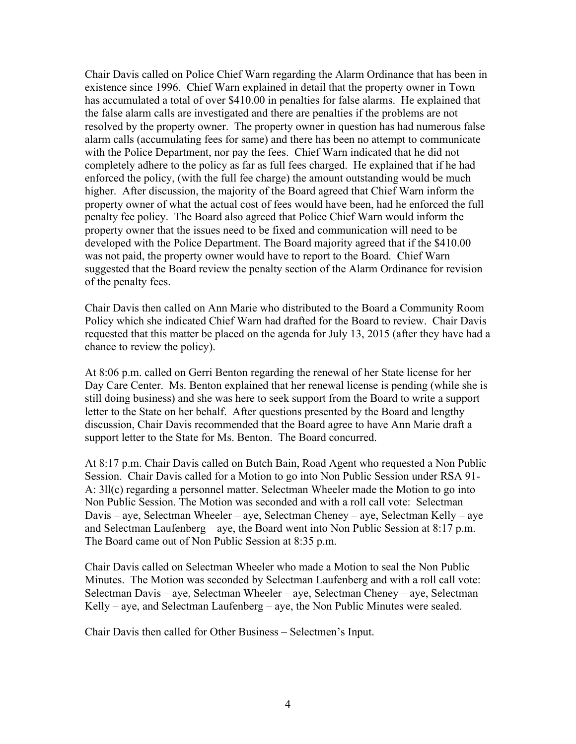Chair Davis called on Police Chief Warn regarding the Alarm Ordinance that has been in existence since 1996. Chief Warn explained in detail that the property owner in Town has accumulated a total of over \$410.00 in penalties for false alarms. He explained that the false alarm calls are investigated and there are penalties if the problems are not resolved by the property owner. The property owner in question has had numerous false alarm calls (accumulating fees for same) and there has been no attempt to communicate with the Police Department, nor pay the fees. Chief Warn indicated that he did not completely adhere to the policy as far as full fees charged. He explained that if he had enforced the policy, (with the full fee charge) the amount outstanding would be much higher. After discussion, the majority of the Board agreed that Chief Warn inform the property owner of what the actual cost of fees would have been, had he enforced the full penalty fee policy. The Board also agreed that Police Chief Warn would inform the property owner that the issues need to be fixed and communication will need to be developed with the Police Department. The Board majority agreed that if the \$410.00 was not paid, the property owner would have to report to the Board. Chief Warn suggested that the Board review the penalty section of the Alarm Ordinance for revision of the penalty fees.

Chair Davis then called on Ann Marie who distributed to the Board a Community Room Policy which she indicated Chief Warn had drafted for the Board to review. Chair Davis requested that this matter be placed on the agenda for July 13, 2015 (after they have had a chance to review the policy).

At 8:06 p.m. called on Gerri Benton regarding the renewal of her State license for her Day Care Center. Ms. Benton explained that her renewal license is pending (while she is still doing business) and she was here to seek support from the Board to write a support letter to the State on her behalf. After questions presented by the Board and lengthy discussion, Chair Davis recommended that the Board agree to have Ann Marie draft a support letter to the State for Ms. Benton. The Board concurred.

At 8:17 p.m. Chair Davis called on Butch Bain, Road Agent who requested a Non Public Session. Chair Davis called for a Motion to go into Non Public Session under RSA 91- A: 3ll(c) regarding a personnel matter. Selectman Wheeler made the Motion to go into Non Public Session. The Motion was seconded and with a roll call vote: Selectman Davis – aye, Selectman Wheeler – aye, Selectman Cheney – aye, Selectman Kelly – aye and Selectman Laufenberg – aye, the Board went into Non Public Session at 8:17 p.m. The Board came out of Non Public Session at 8:35 p.m.

Chair Davis called on Selectman Wheeler who made a Motion to seal the Non Public Minutes. The Motion was seconded by Selectman Laufenberg and with a roll call vote: Selectman Davis – aye, Selectman Wheeler – aye, Selectman Cheney – aye, Selectman Kelly – aye, and Selectman Laufenberg – aye, the Non Public Minutes were sealed.

Chair Davis then called for Other Business – Selectmen's Input.